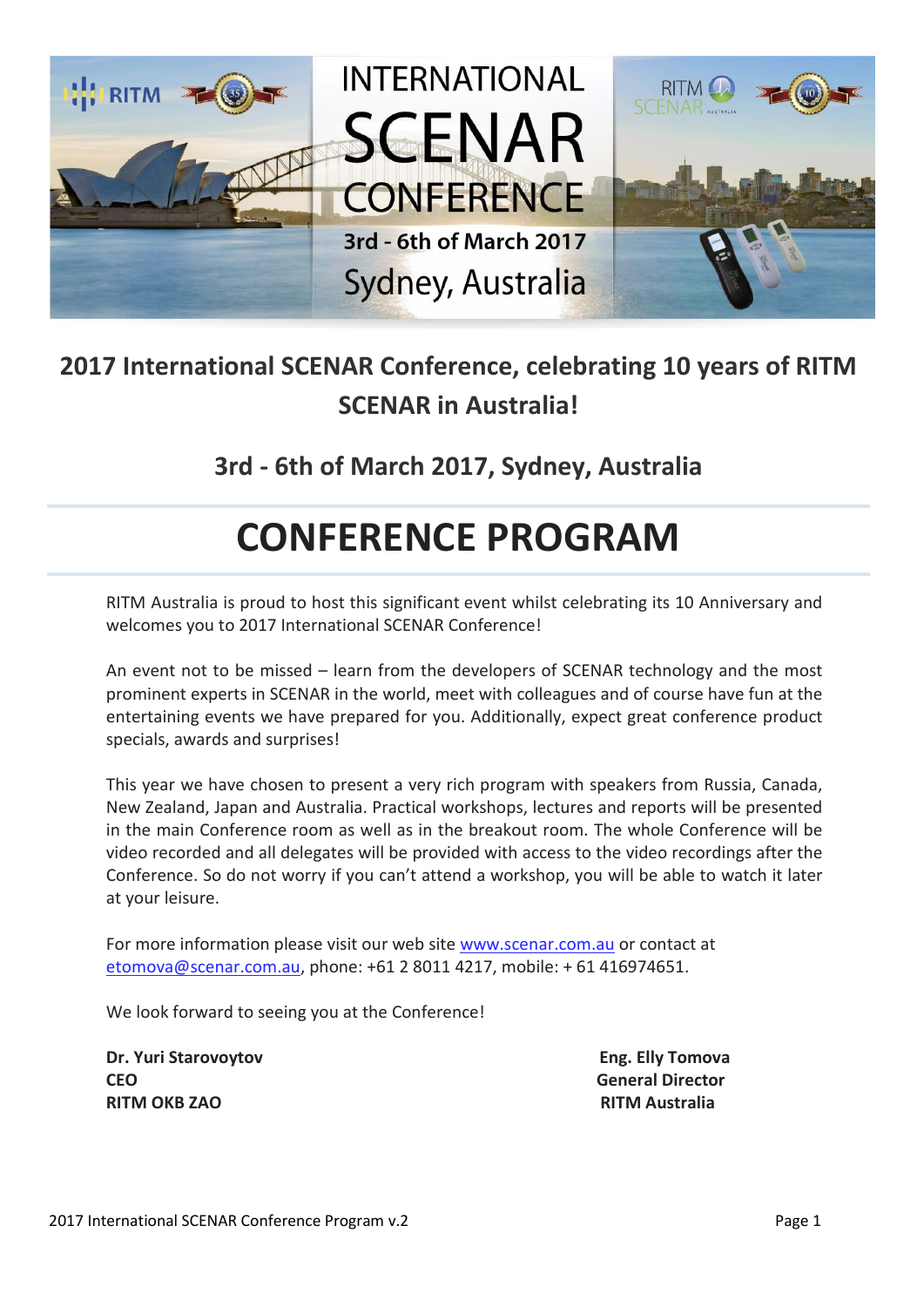

## **2017 International SCENAR Conference, celebrating 10 years of RITM SCENAR in Australia!**

**3rd - 6th of March 2017, Sydney, Australia**

## **CONFERENCE PROGRAM**

RITM Australia is proud to host this significant event whilst celebrating its 10 Anniversary and welcomes you to 2017 International SCENAR Conference!

An event not to be missed – learn from the developers of SCENAR technology and the most prominent experts in SCENAR in the world, meet with colleagues and of course have fun at the entertaining events we have prepared for you. Additionally, expect great conference product specials, awards and surprises!

This year we have chosen to present a very rich program with speakers from Russia, Canada, New Zealand, Japan and Australia. Practical workshops, lectures and reports will be presented in the main Conference room as well as in the breakout room. The whole Conference will be video recorded and all delegates will be provided with access to the video recordings after the Conference. So do not worry if you can't attend a workshop, you will be able to watch it later at your leisure.

For more information please visit our web site [www.scenar.com.au](http://www.scenar.com.au/) or contact at [etomova@scenar.com.au,](mailto:etomova@scenar.com.au) phone: +61 2 8011 4217, mobile: + 61 416974651.

We look forward to seeing you at the Conference!

**Dr. Yuri Starovoytov Eng. Elly Tomova CEO General Director RITM OKB ZAO RITM Australia**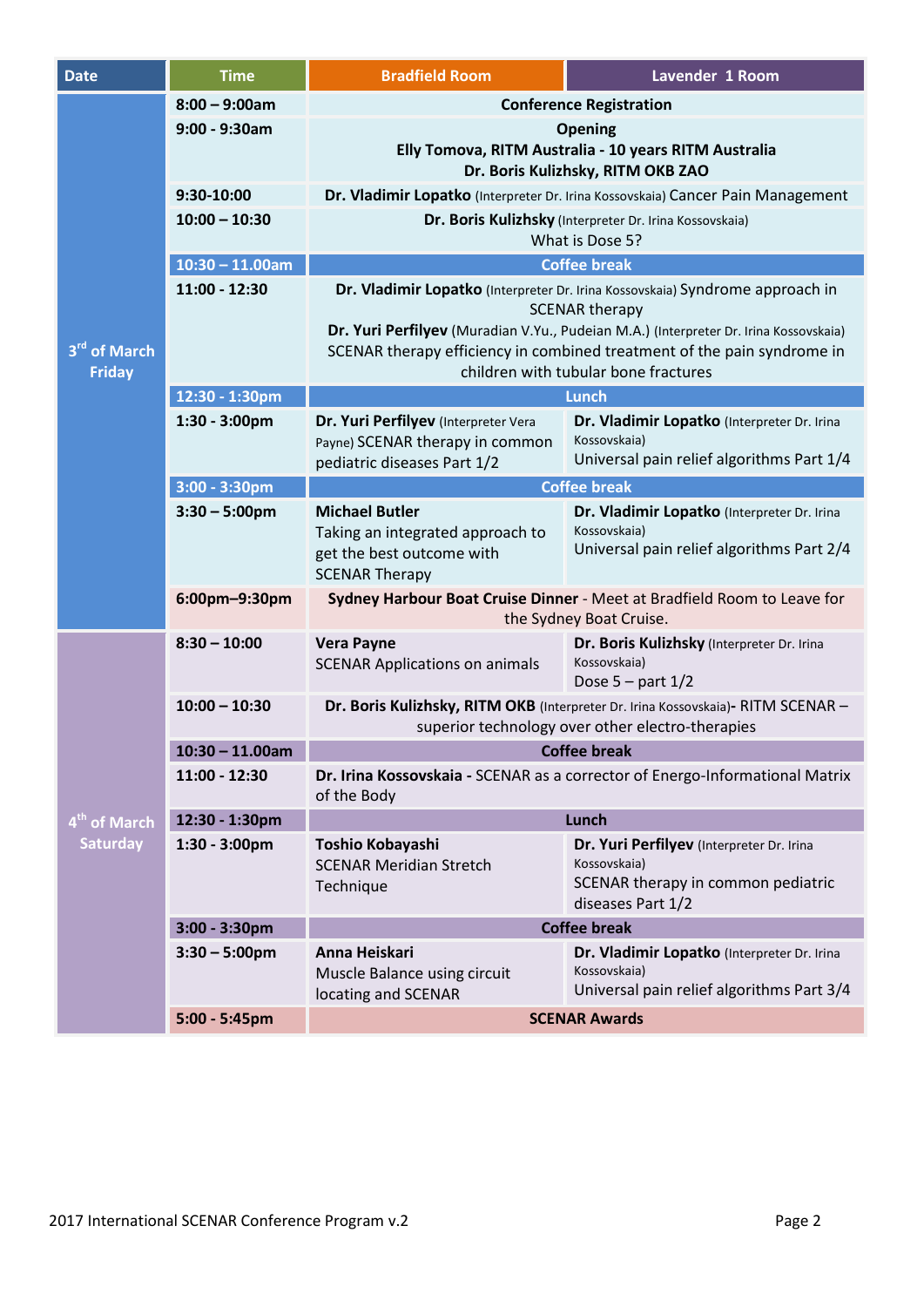| <b>Date</b>                                 | <b>Time</b>        | <b>Bradfield Room</b>                                                                                  | Lavender 1 Room                                             |  |
|---------------------------------------------|--------------------|--------------------------------------------------------------------------------------------------------|-------------------------------------------------------------|--|
|                                             | $8:00 - 9:00am$    |                                                                                                        | <b>Conference Registration</b>                              |  |
| 3 <sup>rd</sup> of March<br><b>Friday</b>   | $9:00 - 9:30$ am   | <b>Opening</b>                                                                                         |                                                             |  |
|                                             |                    | Elly Tomova, RITM Australia - 10 years RITM Australia                                                  |                                                             |  |
|                                             |                    | Dr. Boris Kulizhsky, RITM OKB ZAO                                                                      |                                                             |  |
|                                             | 9:30-10:00         | Dr. Vladimir Lopatko (Interpreter Dr. Irina Kossovskaia) Cancer Pain Management                        |                                                             |  |
|                                             | $10:00 - 10:30$    | Dr. Boris Kulizhsky (Interpreter Dr. Irina Kossovskaia)<br>What is Dose 5?                             |                                                             |  |
|                                             | $10:30 - 11.00$ am | <b>Coffee break</b>                                                                                    |                                                             |  |
|                                             | 11:00 - 12:30      | Dr. Vladimir Lopatko (Interpreter Dr. Irina Kossovskaia) Syndrome approach in<br><b>SCENAR therapy</b> |                                                             |  |
|                                             |                    | Dr. Yuri Perfilyev (Muradian V.Yu., Pudeian M.A.) (Interpreter Dr. Irina Kossovskaia)                  |                                                             |  |
|                                             |                    | SCENAR therapy efficiency in combined treatment of the pain syndrome in                                |                                                             |  |
|                                             |                    | children with tubular bone fractures                                                                   |                                                             |  |
|                                             | 12:30 - 1:30pm     | Lunch                                                                                                  |                                                             |  |
|                                             | 1:30 - 3:00pm      | Dr. Yuri Perfilyev (Interpreter Vera                                                                   | Dr. Vladimir Lopatko (Interpreter Dr. Irina<br>Kossovskaia) |  |
|                                             |                    | Payne) SCENAR therapy in common<br>pediatric diseases Part 1/2                                         | Universal pain relief algorithms Part 1/4                   |  |
|                                             | $3:00 - 3:30$ pm   | <b>Coffee break</b>                                                                                    |                                                             |  |
|                                             | $3:30 - 5:00$ pm   | <b>Michael Butler</b>                                                                                  | Dr. Vladimir Lopatko (Interpreter Dr. Irina                 |  |
|                                             |                    | Taking an integrated approach to                                                                       | Kossovskaia)                                                |  |
|                                             |                    | get the best outcome with<br><b>SCENAR Therapy</b>                                                     | Universal pain relief algorithms Part 2/4                   |  |
|                                             | 6:00pm-9:30pm      | Sydney Harbour Boat Cruise Dinner - Meet at Bradfield Room to Leave for<br>the Sydney Boat Cruise.     |                                                             |  |
| 4 <sup>th</sup> of March<br><b>Saturday</b> | $8:30 - 10:00$     | <b>Vera Payne</b>                                                                                      | Dr. Boris Kulizhsky (Interpreter Dr. Irina                  |  |
|                                             |                    | <b>SCENAR Applications on animals</b>                                                                  | Kossovskaia)<br>Dose $5$ – part $1/2$                       |  |
|                                             | $10:00 - 10:30$    | Dr. Boris Kulizhsky, RITM OKB (Interpreter Dr. Irina Kossovskaia)- RITM SCENAR -                       |                                                             |  |
|                                             |                    | superior technology over other electro-therapies                                                       |                                                             |  |
|                                             | $10:30 - 11.00$ am | <b>Coffee break</b>                                                                                    |                                                             |  |
|                                             | 11:00 - 12:30      | Dr. Irina Kossovskaia - SCENAR as a corrector of Energo-Informational Matrix                           |                                                             |  |
|                                             |                    | of the Body                                                                                            |                                                             |  |
|                                             | 12:30 - 1:30pm     | Lunch                                                                                                  |                                                             |  |
|                                             | $1:30 - 3:00$ pm   | Toshio Kobayashi                                                                                       | Dr. Yuri Perfilyev (Interpreter Dr. Irina                   |  |
|                                             |                    | <b>SCENAR Meridian Stretch</b>                                                                         | Kossovskaia)                                                |  |
|                                             |                    | Technique                                                                                              | SCENAR therapy in common pediatric<br>diseases Part 1/2     |  |
|                                             | $3:00 - 3:30$ pm   | <b>Coffee break</b>                                                                                    |                                                             |  |
|                                             | $3:30 - 5:00$ pm   | Anna Heiskari                                                                                          | Dr. Vladimir Lopatko (Interpreter Dr. Irina                 |  |
|                                             |                    | Muscle Balance using circuit                                                                           | Kossovskaia)                                                |  |
|                                             |                    | locating and SCENAR                                                                                    | Universal pain relief algorithms Part 3/4                   |  |
|                                             | $5:00 - 5:45$ pm   | <b>SCENAR Awards</b>                                                                                   |                                                             |  |